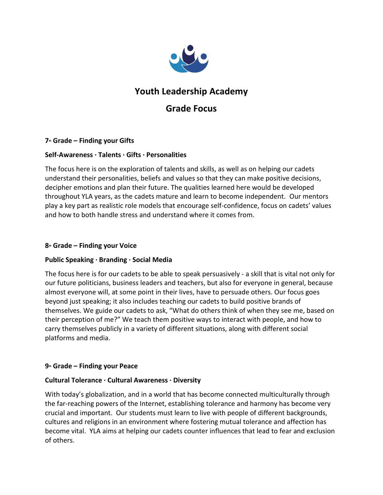

# **Youth Leadership Academy**

# **Grade Focus**

# **7th Grade – Finding your Gifts**

# **Self-Awareness ∙ Talents ∙ Gifts ∙ Personalities**

The focus here is on the exploration of talents and skills, as well as on helping our cadets understand their personalities, beliefs and values so that they can make positive decisions, decipher emotions and plan their future. The qualities learned here would be developed throughout YLA years, as the cadets mature and learn to become independent. Our mentors play a key part as realistic role models that encourage self-confidence, focus on cadets' values and how to both handle stress and understand where it comes from.

#### **8th Grade – Finding your Voice**

# **Public Speaking ∙ Branding ∙ Social Media**

The focus here is for our cadets to be able to speak persuasively - a skill that is vital not only for our future politicians, business leaders and teachers, but also for everyone in general, because almost everyone will, at some point in their lives, [have to persuade others.](http://www.presentation-guru.com/ethos-pathos-logos-the-three-pillars-of-rhetoric/) Our focus goes beyond just speaking; it also includes teaching our cadets to build positive brands of themselves. We guide our cadets to ask, "What do others think of when they see me, based on their perception of me?" We teach them positive ways to interact with people, and how to carry themselves publicly in a variety of different situations, along with different social platforms and media.

# **9th Grade – Finding your Peace**

#### **Cultural Tolerance ∙ Cultural Awareness ∙ Diversity**

With today's globalization, and in a world that has become connected multiculturally through the far-reaching powers of the Internet, establishing tolerance and harmony has become very crucial and important. Our students must learn to live with people of different backgrounds, cultures and religions in an environment where fostering mutual tolerance and affection has become vital. YLA aims at helping our cadets counter influences that lead to fear and exclusion of others.